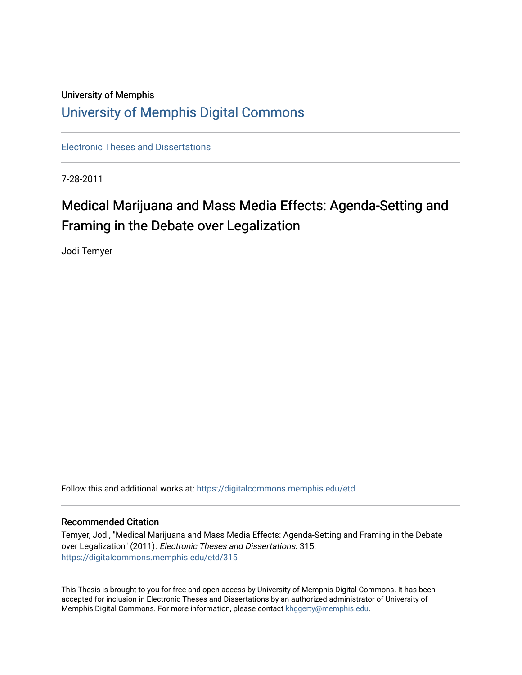## University of Memphis [University of Memphis Digital Commons](https://digitalcommons.memphis.edu/)

[Electronic Theses and Dissertations](https://digitalcommons.memphis.edu/etd)

7-28-2011

# Medical Marijuana and Mass Media Effects: Agenda-Setting and Framing in the Debate over Legalization

Jodi Temyer

Follow this and additional works at: [https://digitalcommons.memphis.edu/etd](https://digitalcommons.memphis.edu/etd?utm_source=digitalcommons.memphis.edu%2Fetd%2F315&utm_medium=PDF&utm_campaign=PDFCoverPages) 

#### Recommended Citation

Temyer, Jodi, "Medical Marijuana and Mass Media Effects: Agenda-Setting and Framing in the Debate over Legalization" (2011). Electronic Theses and Dissertations. 315. [https://digitalcommons.memphis.edu/etd/315](https://digitalcommons.memphis.edu/etd/315?utm_source=digitalcommons.memphis.edu%2Fetd%2F315&utm_medium=PDF&utm_campaign=PDFCoverPages) 

This Thesis is brought to you for free and open access by University of Memphis Digital Commons. It has been accepted for inclusion in Electronic Theses and Dissertations by an authorized administrator of University of Memphis Digital Commons. For more information, please contact [khggerty@memphis.edu.](mailto:khggerty@memphis.edu)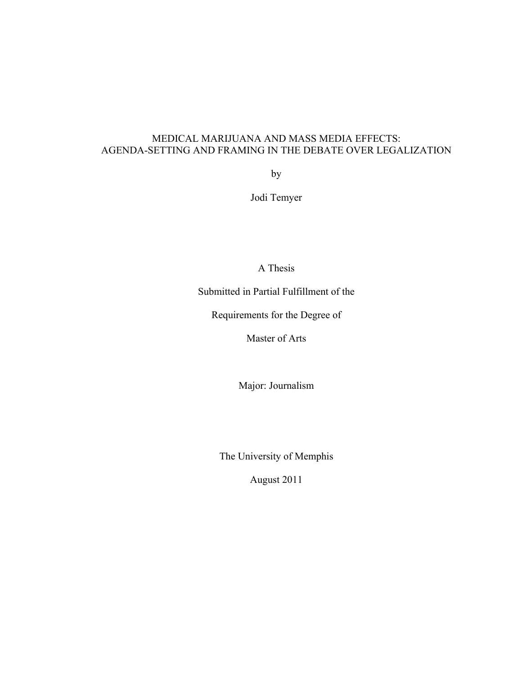## MEDICAL MARIJUANA AND MASS MEDIA EFFECTS: AGENDA-SETTING AND FRAMING IN THE DEBATE OVER LEGALIZATION

by

Jodi Temyer

A Thesis

Submitted in Partial Fulfillment of the

Requirements for the Degree of

Master of Arts

Major: Journalism

The University of Memphis

August 2011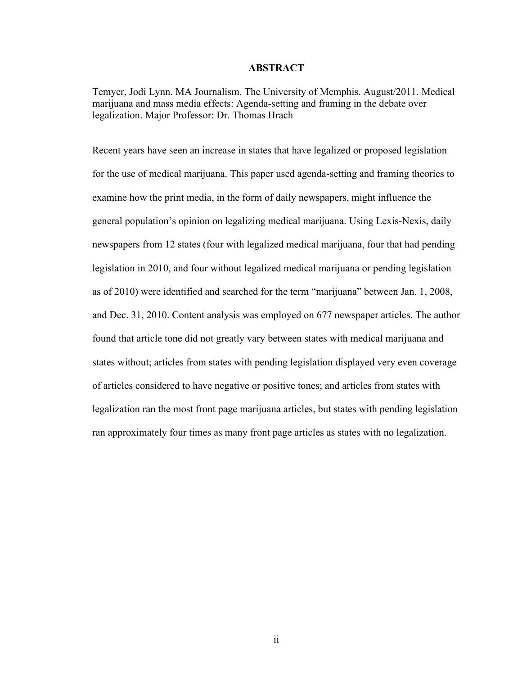#### **ABSTRACT**

Temyer, Jodi Lynn. MA Journalism. The University of Memphis. August/2011. Medical marijuana and mass media effects: Agenda-setting and framing in the debate over legalization. Major Professor: Dr. Thomas Hrach

Recent years have seen an increase in states that have legalized or proposed legislation for the use of medical marijuana. This paper used agenda-setting and framing theories to examine how the print media, in the form of daily newspapers, might influence the general population's opinion on legalizing medical marijuana. Using Lexis-Nexis, daily newspapers from 12 states (four with legalized medical marijuana, four that had pending legislation in 2010, and four without legalized medical marijuana or pending legislation as of 2010) were identified and searched for the term "marijuana" between Jan. 1, 2008, and Dec. 31, 2010. Content analysis was employed on 677 newspaper articles. The author found that article tone did not greatly vary between states with medical marijuana and states without; articles from states with pending legislation displayed very even coverage of articles considered to have negative or positive tones; and articles from states with legalization ran the most front page marijuana articles, but states with pending legislation ran approximately four times as many front page articles as states with no legalization.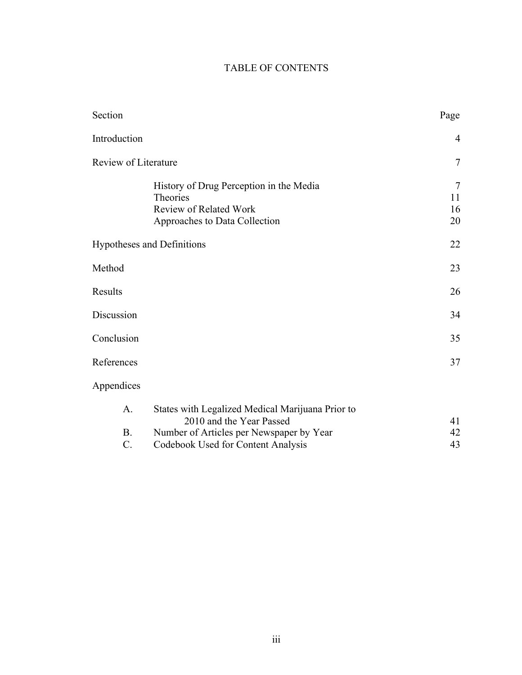## TABLE OF CONTENTS

| Section                                     |                                                                                                                                                                | Page                     |
|---------------------------------------------|----------------------------------------------------------------------------------------------------------------------------------------------------------------|--------------------------|
| Introduction                                |                                                                                                                                                                | $\overline{4}$           |
| Review of Literature                        |                                                                                                                                                                | $\overline{7}$           |
|                                             | History of Drug Perception in the Media<br>Theories<br><b>Review of Related Work</b><br>Approaches to Data Collection                                          | $\tau$<br>11<br>16<br>20 |
| Hypotheses and Definitions                  |                                                                                                                                                                | 22                       |
| Method                                      |                                                                                                                                                                | 23                       |
| Results                                     |                                                                                                                                                                | 26                       |
| Discussion                                  |                                                                                                                                                                | 34                       |
| Conclusion                                  |                                                                                                                                                                | 35                       |
| References                                  |                                                                                                                                                                | 37                       |
| Appendices                                  |                                                                                                                                                                |                          |
| $A_{\cdot}$<br><b>B.</b><br>$\mathcal{C}$ . | States with Legalized Medical Marijuana Prior to<br>2010 and the Year Passed<br>Number of Articles per Newspaper by Year<br>Codebook Used for Content Analysis | 41<br>42<br>43           |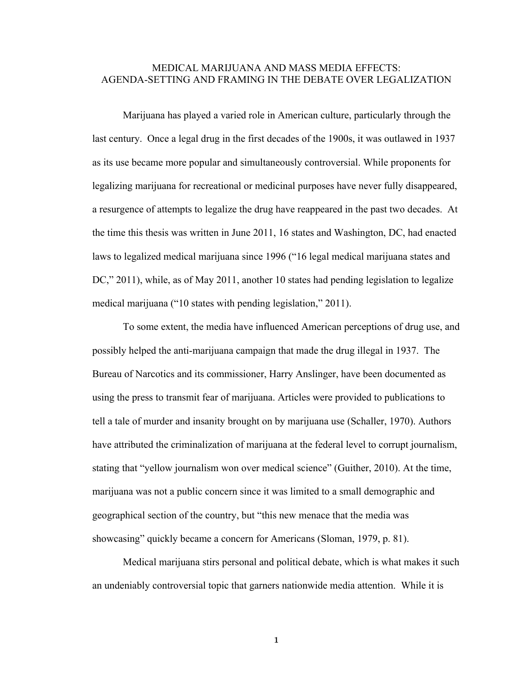#### MEDICAL MARIJUANA AND MASS MEDIA EFFECTS: AGENDA-SETTING AND FRAMING IN THE DEBATE OVER LEGALIZATION

Marijuana has played a varied role in American culture, particularly through the last century. Once a legal drug in the first decades of the 1900s, it was outlawed in 1937 as its use became more popular and simultaneously controversial. While proponents for legalizing marijuana for recreational or medicinal purposes have never fully disappeared, a resurgence of attempts to legalize the drug have reappeared in the past two decades. At the time this thesis was written in June 2011, 16 states and Washington, DC, had enacted laws to legalized medical marijuana since 1996 ("16 legal medical marijuana states and DC," 2011), while, as of May 2011, another 10 states had pending legislation to legalize medical marijuana ("10 states with pending legislation," 2011).

To some extent, the media have influenced American perceptions of drug use, and possibly helped the anti-marijuana campaign that made the drug illegal in 1937. The Bureau of Narcotics and its commissioner, Harry Anslinger, have been documented as using the press to transmit fear of marijuana. Articles were provided to publications to tell a tale of murder and insanity brought on by marijuana use (Schaller, 1970). Authors have attributed the criminalization of marijuana at the federal level to corrupt journalism, stating that "yellow journalism won over medical science" (Guither, 2010). At the time, marijuana was not a public concern since it was limited to a small demographic and geographical section of the country, but "this new menace that the media was showcasing" quickly became a concern for Americans (Sloman, 1979, p. 81).

Medical marijuana stirs personal and political debate, which is what makes it such an undeniably controversial topic that garners nationwide media attention. While it is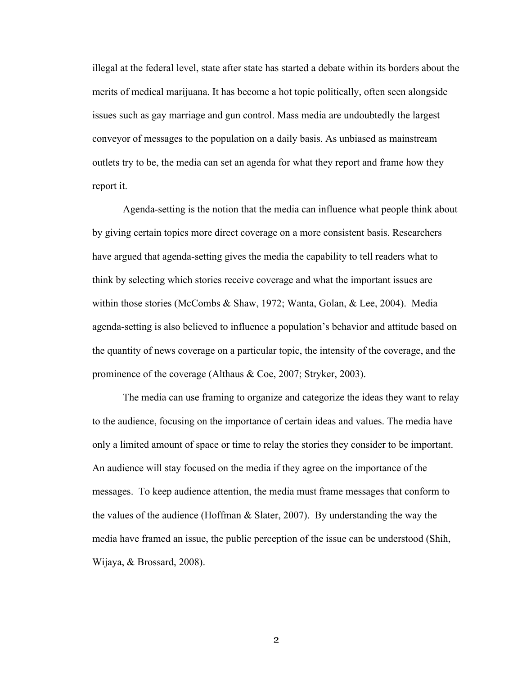illegal at the federal level, state after state has started a debate within its borders about the merits of medical marijuana. It has become a hot topic politically, often seen alongside issues such as gay marriage and gun control. Mass media are undoubtedly the largest conveyor of messages to the population on a daily basis. As unbiased as mainstream outlets try to be, the media can set an agenda for what they report and frame how they report it.

Agenda-setting is the notion that the media can influence what people think about by giving certain topics more direct coverage on a more consistent basis. Researchers have argued that agenda-setting gives the media the capability to tell readers what to think by selecting which stories receive coverage and what the important issues are within those stories (McCombs & Shaw, 1972; Wanta, Golan, & Lee, 2004). Media agenda-setting is also believed to influence a population's behavior and attitude based on the quantity of news coverage on a particular topic, the intensity of the coverage, and the prominence of the coverage (Althaus & Coe, 2007; Stryker, 2003).

The media can use framing to organize and categorize the ideas they want to relay to the audience, focusing on the importance of certain ideas and values. The media have only a limited amount of space or time to relay the stories they consider to be important. An audience will stay focused on the media if they agree on the importance of the messages. To keep audience attention, the media must frame messages that conform to the values of the audience (Hoffman & Slater, 2007). By understanding the way the media have framed an issue, the public perception of the issue can be understood (Shih, Wijaya, & Brossard, 2008).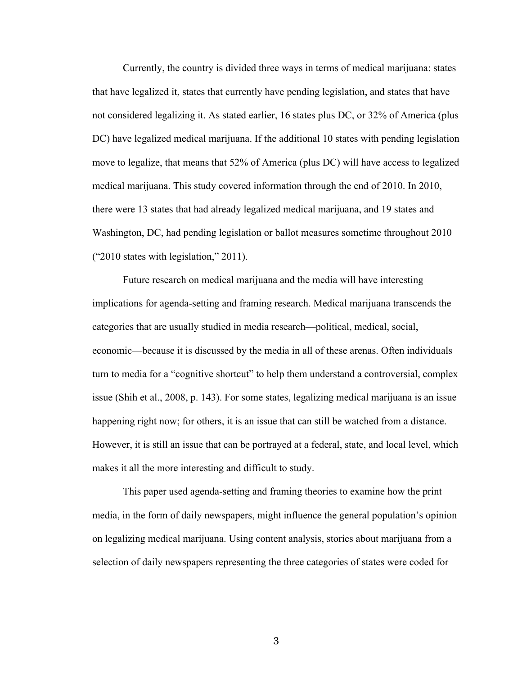Currently, the country is divided three ways in terms of medical marijuana: states that have legalized it, states that currently have pending legislation, and states that have not considered legalizing it. As stated earlier, 16 states plus DC, or 32% of America (plus DC) have legalized medical marijuana. If the additional 10 states with pending legislation move to legalize, that means that 52% of America (plus DC) will have access to legalized medical marijuana. This study covered information through the end of 2010. In 2010, there were 13 states that had already legalized medical marijuana, and 19 states and Washington, DC, had pending legislation or ballot measures sometime throughout 2010 ("2010 states with legislation," 2011).

Future research on medical marijuana and the media will have interesting implications for agenda-setting and framing research. Medical marijuana transcends the categories that are usually studied in media research—political, medical, social, economic—because it is discussed by the media in all of these arenas. Often individuals turn to media for a "cognitive shortcut" to help them understand a controversial, complex issue (Shih et al., 2008, p. 143). For some states, legalizing medical marijuana is an issue happening right now; for others, it is an issue that can still be watched from a distance. However, it is still an issue that can be portrayed at a federal, state, and local level, which makes it all the more interesting and difficult to study.

This paper used agenda-setting and framing theories to examine how the print media, in the form of daily newspapers, might influence the general population's opinion on legalizing medical marijuana. Using content analysis, stories about marijuana from a selection of daily newspapers representing the three categories of states were coded for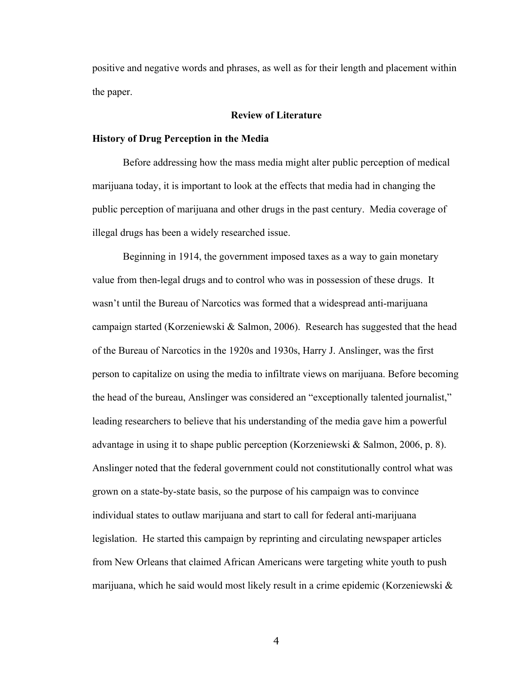positive and negative words and phrases, as well as for their length and placement within the paper.

#### **Review of Literature**

#### **History of Drug Perception in the Media**

Before addressing how the mass media might alter public perception of medical marijuana today, it is important to look at the effects that media had in changing the public perception of marijuana and other drugs in the past century. Media coverage of illegal drugs has been a widely researched issue.

Beginning in 1914, the government imposed taxes as a way to gain monetary value from then-legal drugs and to control who was in possession of these drugs. It wasn't until the Bureau of Narcotics was formed that a widespread anti-marijuana campaign started (Korzeniewski & Salmon, 2006). Research has suggested that the head of the Bureau of Narcotics in the 1920s and 1930s, Harry J. Anslinger, was the first person to capitalize on using the media to infiltrate views on marijuana. Before becoming the head of the bureau, Anslinger was considered an "exceptionally talented journalist," leading researchers to believe that his understanding of the media gave him a powerful advantage in using it to shape public perception (Korzeniewski & Salmon, 2006, p. 8). Anslinger noted that the federal government could not constitutionally control what was grown on a state-by-state basis, so the purpose of his campaign was to convince individual states to outlaw marijuana and start to call for federal anti-marijuana legislation. He started this campaign by reprinting and circulating newspaper articles from New Orleans that claimed African Americans were targeting white youth to push marijuana, which he said would most likely result in a crime epidemic (Korzeniewski &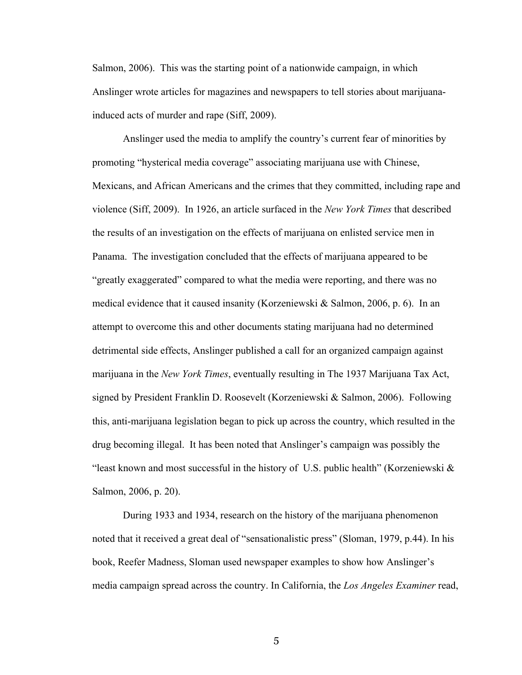Salmon, 2006). This was the starting point of a nationwide campaign, in which Anslinger wrote articles for magazines and newspapers to tell stories about marijuanainduced acts of murder and rape (Siff, 2009).

Anslinger used the media to amplify the country's current fear of minorities by promoting "hysterical media coverage" associating marijuana use with Chinese, Mexicans, and African Americans and the crimes that they committed, including rape and violence (Siff, 2009). In 1926, an article surfaced in the *New York Times* that described the results of an investigation on the effects of marijuana on enlisted service men in Panama. The investigation concluded that the effects of marijuana appeared to be "greatly exaggerated" compared to what the media were reporting, and there was no medical evidence that it caused insanity (Korzeniewski & Salmon, 2006, p. 6). In an attempt to overcome this and other documents stating marijuana had no determined detrimental side effects, Anslinger published a call for an organized campaign against marijuana in the *New York Times*, eventually resulting in The 1937 Marijuana Tax Act, signed by President Franklin D. Roosevelt (Korzeniewski & Salmon, 2006). Following this, anti-marijuana legislation began to pick up across the country, which resulted in the drug becoming illegal. It has been noted that Anslinger's campaign was possibly the "least known and most successful in the history of U.S. public health" (Korzeniewski & Salmon, 2006, p. 20).

During 1933 and 1934, research on the history of the marijuana phenomenon noted that it received a great deal of "sensationalistic press" (Sloman, 1979, p.44). In his book, Reefer Madness, Sloman used newspaper examples to show how Anslinger's media campaign spread across the country. In California, the *Los Angeles Examiner* read,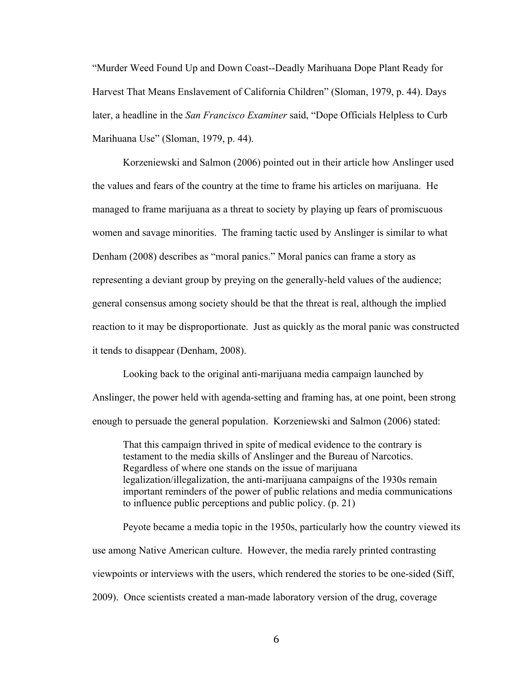"Murder Weed Found Up and Down Coast--Deadly Marihuana Dope Plant Ready for Harvest That Means Enslavement of California Children" (Sloman, 1979, p. 44). Days later, a headline in the *San Francisco Examiner* said, "Dope Officials Helpless to Curb Marihuana Use" (Sloman, 1979, p. 44).

Korzeniewski and Salmon (2006) pointed out in their article how Anslinger used the values and fears of the country at the time to frame his articles on marijuana. He managed to frame marijuana as a threat to society by playing up fears of promiscuous women and savage minorities. The framing tactic used by Anslinger is similar to what Denham (2008) describes as "moral panics." Moral panics can frame a story as representing a deviant group by preying on the generally-held values of the audience; general consensus among society should be that the threat is real, although the implied reaction to it may be disproportionate. Just as quickly as the moral panic was constructed it tends to disappear (Denham, 2008).

Looking back to the original anti-marijuana media campaign launched by Anslinger, the power held with agenda-setting and framing has, at one point, been strong enough to persuade the general population. Korzeniewski and Salmon (2006) stated:

That this campaign thrived in spite of medical evidence to the contrary is testament to the media skills of Anslinger and the Bureau of Narcotics. Regardless of where one stands on the issue of marijuana legalization/illegalization, the anti-marijuana campaigns of the 1930s remain important reminders of the power of public relations and media communications to influence public perceptions and public policy. (p. 21)

Peyote became a media topic in the 1950s, particularly how the country viewed its use among Native American culture. However, the media rarely printed contrasting viewpoints or interviews with the users, which rendered the stories to be one-sided (Siff, 2009). Once scientists created a man-made laboratory version of the drug, coverage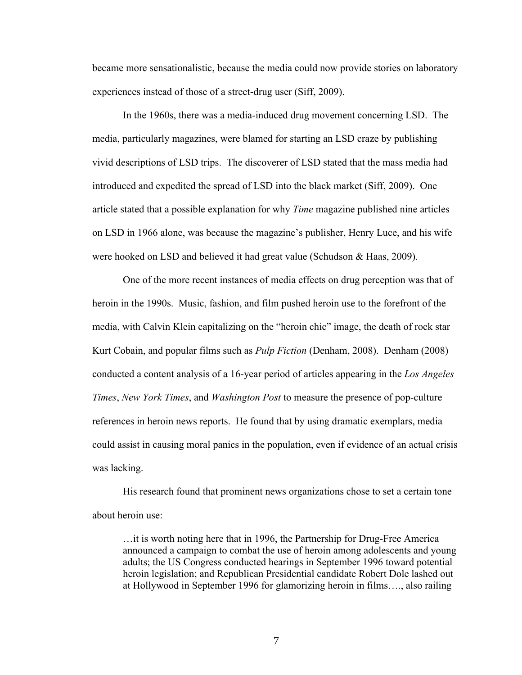became more sensationalistic, because the media could now provide stories on laboratory experiences instead of those of a street-drug user (Siff, 2009).

In the 1960s, there was a media-induced drug movement concerning LSD. The media, particularly magazines, were blamed for starting an LSD craze by publishing vivid descriptions of LSD trips. The discoverer of LSD stated that the mass media had introduced and expedited the spread of LSD into the black market (Siff, 2009). One article stated that a possible explanation for why *Time* magazine published nine articles on LSD in 1966 alone, was because the magazine's publisher, Henry Luce, and his wife were hooked on LSD and believed it had great value (Schudson & Haas, 2009).

One of the more recent instances of media effects on drug perception was that of heroin in the 1990s. Music, fashion, and film pushed heroin use to the forefront of the media, with Calvin Klein capitalizing on the "heroin chic" image, the death of rock star Kurt Cobain, and popular films such as *Pulp Fiction* (Denham, 2008). Denham (2008) conducted a content analysis of a 16-year period of articles appearing in the *Los Angeles Times*, *New York Times*, and *Washington Post* to measure the presence of pop-culture references in heroin news reports. He found that by using dramatic exemplars, media could assist in causing moral panics in the population, even if evidence of an actual crisis was lacking.

His research found that prominent news organizations chose to set a certain tone about heroin use:

…it is worth noting here that in 1996, the Partnership for Drug-Free America announced a campaign to combat the use of heroin among adolescents and young adults; the US Congress conducted hearings in September 1996 toward potential heroin legislation; and Republican Presidential candidate Robert Dole lashed out at Hollywood in September 1996 for glamorizing heroin in films…., also railing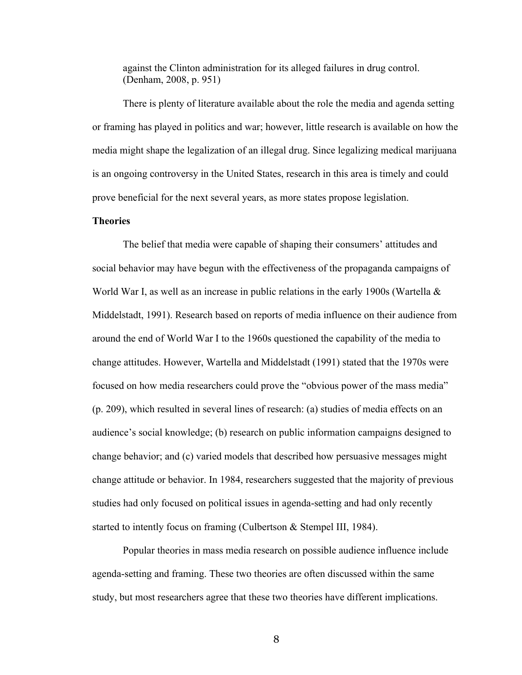against the Clinton administration for its alleged failures in drug control. (Denham, 2008, p. 951)

There is plenty of literature available about the role the media and agenda setting or framing has played in politics and war; however, little research is available on how the media might shape the legalization of an illegal drug. Since legalizing medical marijuana is an ongoing controversy in the United States, research in this area is timely and could prove beneficial for the next several years, as more states propose legislation.

## **Theories**

The belief that media were capable of shaping their consumers' attitudes and social behavior may have begun with the effectiveness of the propaganda campaigns of World War I, as well as an increase in public relations in the early 1900s (Wartella & Middelstadt, 1991). Research based on reports of media influence on their audience from around the end of World War I to the 1960s questioned the capability of the media to change attitudes. However, Wartella and Middelstadt (1991) stated that the 1970s were focused on how media researchers could prove the "obvious power of the mass media" (p. 209), which resulted in several lines of research: (a) studies of media effects on an audience's social knowledge; (b) research on public information campaigns designed to change behavior; and (c) varied models that described how persuasive messages might change attitude or behavior. In 1984, researchers suggested that the majority of previous studies had only focused on political issues in agenda-setting and had only recently started to intently focus on framing (Culbertson & Stempel III, 1984).

Popular theories in mass media research on possible audience influence include agenda-setting and framing. These two theories are often discussed within the same study, but most researchers agree that these two theories have different implications.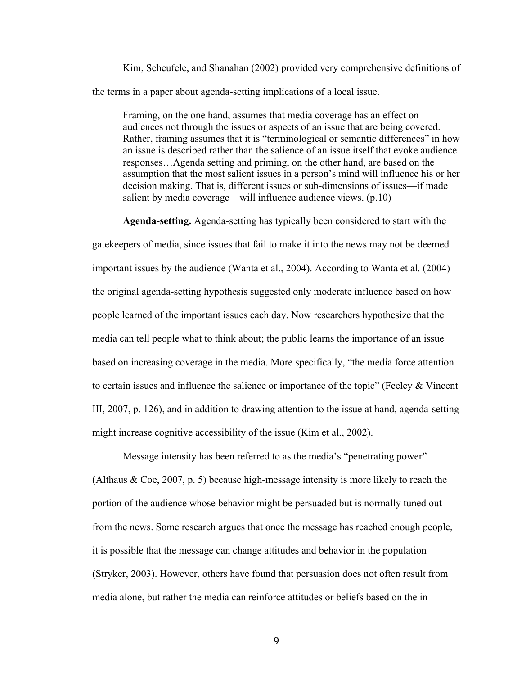Kim, Scheufele, and Shanahan (2002) provided very comprehensive definitions of the terms in a paper about agenda-setting implications of a local issue.

Framing, on the one hand, assumes that media coverage has an effect on audiences not through the issues or aspects of an issue that are being covered. Rather, framing assumes that it is "terminological or semantic differences" in how an issue is described rather than the salience of an issue itself that evoke audience responses…Agenda setting and priming, on the other hand, are based on the assumption that the most salient issues in a person's mind will influence his or her decision making. That is, different issues or sub-dimensions of issues—if made salient by media coverage—will influence audience views. (p.10)

**Agenda-setting.** Agenda-setting has typically been considered to start with the

gatekeepers of media, since issues that fail to make it into the news may not be deemed important issues by the audience (Wanta et al., 2004). According to Wanta et al. (2004) the original agenda-setting hypothesis suggested only moderate influence based on how people learned of the important issues each day. Now researchers hypothesize that the media can tell people what to think about; the public learns the importance of an issue based on increasing coverage in the media. More specifically, "the media force attention to certain issues and influence the salience or importance of the topic" (Feeley & Vincent III, 2007, p. 126), and in addition to drawing attention to the issue at hand, agenda-setting might increase cognitive accessibility of the issue (Kim et al., 2002).

Message intensity has been referred to as the media's "penetrating power" (Althaus & Coe, 2007, p. 5) because high-message intensity is more likely to reach the portion of the audience whose behavior might be persuaded but is normally tuned out from the news. Some research argues that once the message has reached enough people, it is possible that the message can change attitudes and behavior in the population (Stryker, 2003). However, others have found that persuasion does not often result from media alone, but rather the media can reinforce attitudes or beliefs based on the in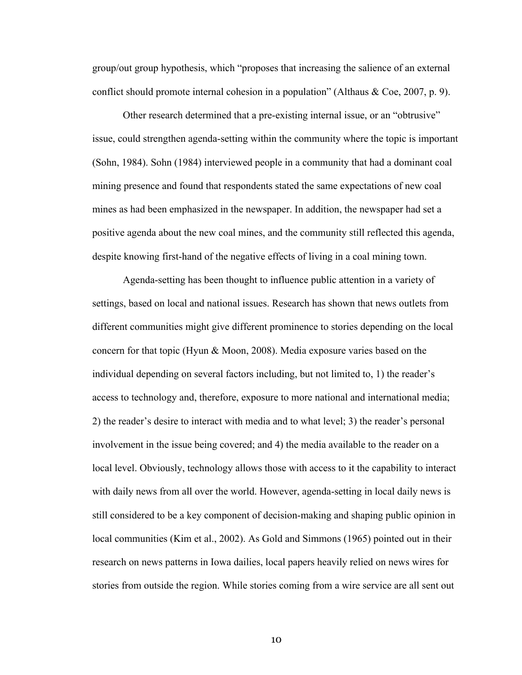group/out group hypothesis, which "proposes that increasing the salience of an external conflict should promote internal cohesion in a population" (Althaus  $& Coe, 2007, p. 9$ ).

Other research determined that a pre-existing internal issue, or an "obtrusive" issue, could strengthen agenda-setting within the community where the topic is important (Sohn, 1984). Sohn (1984) interviewed people in a community that had a dominant coal mining presence and found that respondents stated the same expectations of new coal mines as had been emphasized in the newspaper. In addition, the newspaper had set a positive agenda about the new coal mines, and the community still reflected this agenda, despite knowing first-hand of the negative effects of living in a coal mining town.

Agenda-setting has been thought to influence public attention in a variety of settings, based on local and national issues. Research has shown that news outlets from different communities might give different prominence to stories depending on the local concern for that topic (Hyun & Moon, 2008). Media exposure varies based on the individual depending on several factors including, but not limited to, 1) the reader's access to technology and, therefore, exposure to more national and international media; 2) the reader's desire to interact with media and to what level; 3) the reader's personal involvement in the issue being covered; and 4) the media available to the reader on a local level. Obviously, technology allows those with access to it the capability to interact with daily news from all over the world. However, agenda-setting in local daily news is still considered to be a key component of decision-making and shaping public opinion in local communities (Kim et al., 2002). As Gold and Simmons (1965) pointed out in their research on news patterns in Iowa dailies, local papers heavily relied on news wires for stories from outside the region. While stories coming from a wire service are all sent out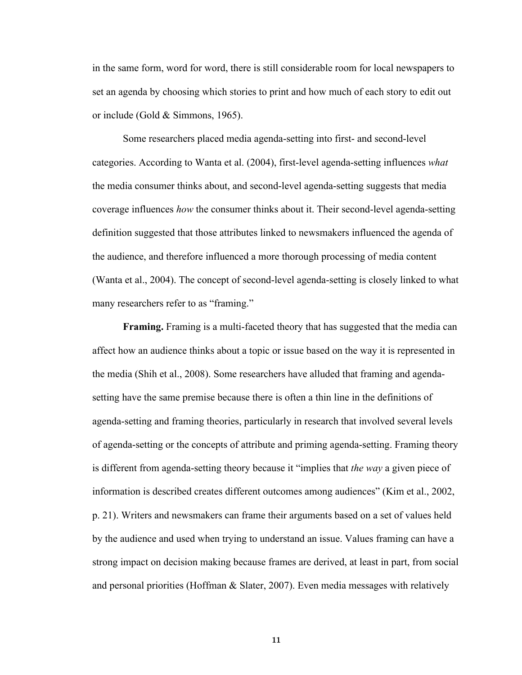in the same form, word for word, there is still considerable room for local newspapers to set an agenda by choosing which stories to print and how much of each story to edit out or include (Gold & Simmons, 1965).

Some researchers placed media agenda-setting into first- and second-level categories. According to Wanta et al. (2004), first-level agenda-setting influences *what* the media consumer thinks about, and second-level agenda-setting suggests that media coverage influences *how* the consumer thinks about it. Their second-level agenda-setting definition suggested that those attributes linked to newsmakers influenced the agenda of the audience, and therefore influenced a more thorough processing of media content (Wanta et al., 2004). The concept of second-level agenda-setting is closely linked to what many researchers refer to as "framing."

**Framing.** Framing is a multi-faceted theory that has suggested that the media can affect how an audience thinks about a topic or issue based on the way it is represented in the media (Shih et al., 2008). Some researchers have alluded that framing and agendasetting have the same premise because there is often a thin line in the definitions of agenda-setting and framing theories, particularly in research that involved several levels of agenda-setting or the concepts of attribute and priming agenda-setting. Framing theory is different from agenda-setting theory because it "implies that *the way* a given piece of information is described creates different outcomes among audiences" (Kim et al., 2002, p. 21). Writers and newsmakers can frame their arguments based on a set of values held by the audience and used when trying to understand an issue. Values framing can have a strong impact on decision making because frames are derived, at least in part, from social and personal priorities (Hoffman & Slater, 2007). Even media messages with relatively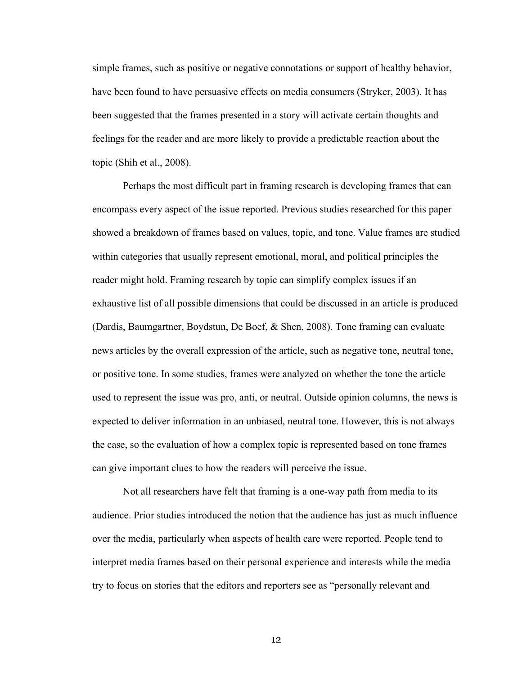simple frames, such as positive or negative connotations or support of healthy behavior, have been found to have persuasive effects on media consumers (Stryker, 2003). It has been suggested that the frames presented in a story will activate certain thoughts and feelings for the reader and are more likely to provide a predictable reaction about the topic (Shih et al., 2008).

Perhaps the most difficult part in framing research is developing frames that can encompass every aspect of the issue reported. Previous studies researched for this paper showed a breakdown of frames based on values, topic, and tone. Value frames are studied within categories that usually represent emotional, moral, and political principles the reader might hold. Framing research by topic can simplify complex issues if an exhaustive list of all possible dimensions that could be discussed in an article is produced (Dardis, Baumgartner, Boydstun, De Boef, & Shen, 2008). Tone framing can evaluate news articles by the overall expression of the article, such as negative tone, neutral tone, or positive tone. In some studies, frames were analyzed on whether the tone the article used to represent the issue was pro, anti, or neutral. Outside opinion columns, the news is expected to deliver information in an unbiased, neutral tone. However, this is not always the case, so the evaluation of how a complex topic is represented based on tone frames can give important clues to how the readers will perceive the issue.

Not all researchers have felt that framing is a one-way path from media to its audience. Prior studies introduced the notion that the audience has just as much influence over the media, particularly when aspects of health care were reported. People tend to interpret media frames based on their personal experience and interests while the media try to focus on stories that the editors and reporters see as "personally relevant and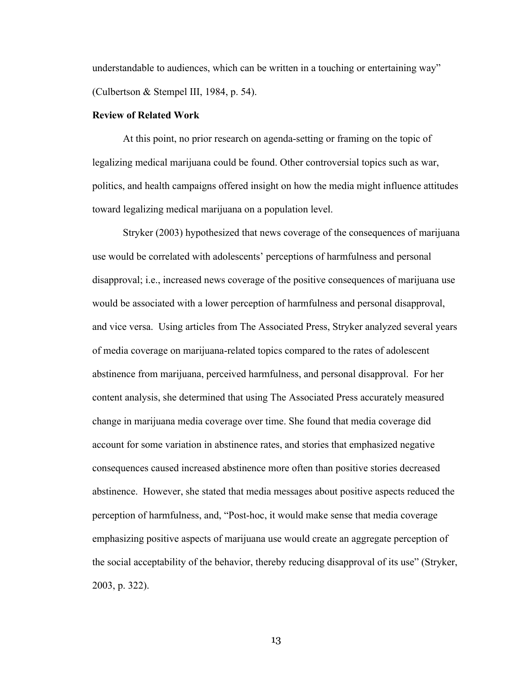understandable to audiences, which can be written in a touching or entertaining way" (Culbertson & Stempel III, 1984, p. 54).

#### **Review of Related Work**

At this point, no prior research on agenda-setting or framing on the topic of legalizing medical marijuana could be found. Other controversial topics such as war, politics, and health campaigns offered insight on how the media might influence attitudes toward legalizing medical marijuana on a population level.

Stryker (2003) hypothesized that news coverage of the consequences of marijuana use would be correlated with adolescents' perceptions of harmfulness and personal disapproval; i.e., increased news coverage of the positive consequences of marijuana use would be associated with a lower perception of harmfulness and personal disapproval, and vice versa. Using articles from The Associated Press, Stryker analyzed several years of media coverage on marijuana-related topics compared to the rates of adolescent abstinence from marijuana, perceived harmfulness, and personal disapproval. For her content analysis, she determined that using The Associated Press accurately measured change in marijuana media coverage over time. She found that media coverage did account for some variation in abstinence rates, and stories that emphasized negative consequences caused increased abstinence more often than positive stories decreased abstinence. However, she stated that media messages about positive aspects reduced the perception of harmfulness, and, "Post-hoc, it would make sense that media coverage emphasizing positive aspects of marijuana use would create an aggregate perception of the social acceptability of the behavior, thereby reducing disapproval of its use" (Stryker, 2003, p. 322).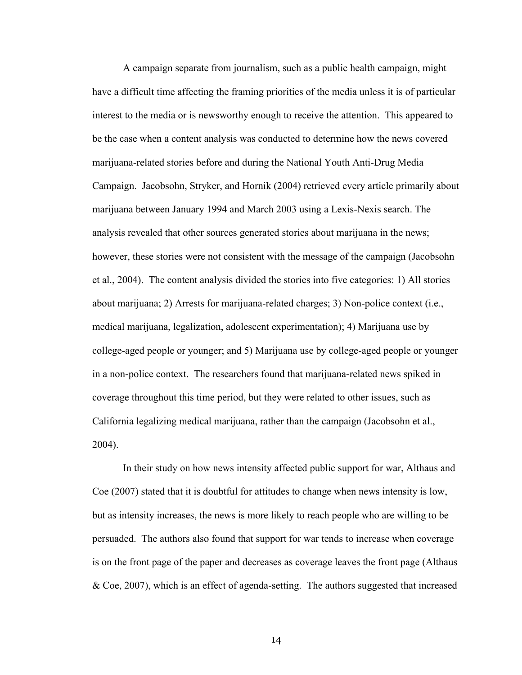A campaign separate from journalism, such as a public health campaign, might have a difficult time affecting the framing priorities of the media unless it is of particular interest to the media or is newsworthy enough to receive the attention. This appeared to be the case when a content analysis was conducted to determine how the news covered marijuana-related stories before and during the National Youth Anti-Drug Media Campaign. Jacobsohn, Stryker, and Hornik (2004) retrieved every article primarily about marijuana between January 1994 and March 2003 using a Lexis-Nexis search. The analysis revealed that other sources generated stories about marijuana in the news; however, these stories were not consistent with the message of the campaign (Jacobsohn et al., 2004). The content analysis divided the stories into five categories: 1) All stories about marijuana; 2) Arrests for marijuana-related charges; 3) Non-police context (i.e., medical marijuana, legalization, adolescent experimentation); 4) Marijuana use by college-aged people or younger; and 5) Marijuana use by college-aged people or younger in a non-police context. The researchers found that marijuana-related news spiked in coverage throughout this time period, but they were related to other issues, such as California legalizing medical marijuana, rather than the campaign (Jacobsohn et al., 2004).

In their study on how news intensity affected public support for war, Althaus and Coe (2007) stated that it is doubtful for attitudes to change when news intensity is low, but as intensity increases, the news is more likely to reach people who are willing to be persuaded. The authors also found that support for war tends to increase when coverage is on the front page of the paper and decreases as coverage leaves the front page (Althaus & Coe, 2007), which is an effect of agenda-setting. The authors suggested that increased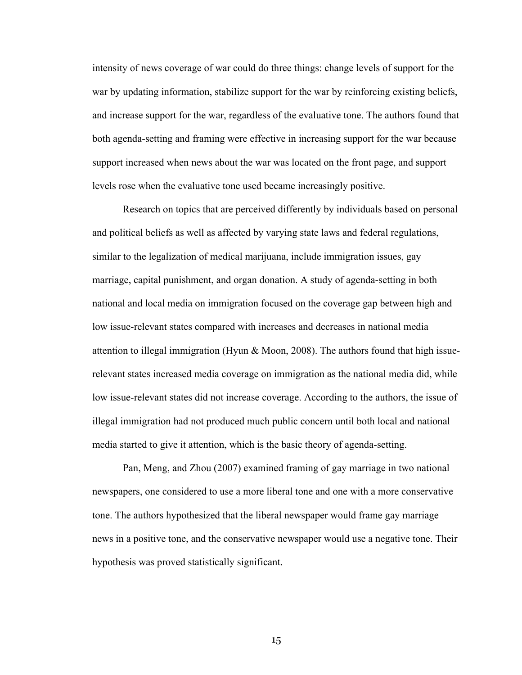intensity of news coverage of war could do three things: change levels of support for the war by updating information, stabilize support for the war by reinforcing existing beliefs, and increase support for the war, regardless of the evaluative tone. The authors found that both agenda-setting and framing were effective in increasing support for the war because support increased when news about the war was located on the front page, and support levels rose when the evaluative tone used became increasingly positive.

Research on topics that are perceived differently by individuals based on personal and political beliefs as well as affected by varying state laws and federal regulations, similar to the legalization of medical marijuana, include immigration issues, gay marriage, capital punishment, and organ donation. A study of agenda-setting in both national and local media on immigration focused on the coverage gap between high and low issue-relevant states compared with increases and decreases in national media attention to illegal immigration (Hyun  $\&$  Moon, 2008). The authors found that high issuerelevant states increased media coverage on immigration as the national media did, while low issue-relevant states did not increase coverage. According to the authors, the issue of illegal immigration had not produced much public concern until both local and national media started to give it attention, which is the basic theory of agenda-setting.

Pan, Meng, and Zhou (2007) examined framing of gay marriage in two national newspapers, one considered to use a more liberal tone and one with a more conservative tone. The authors hypothesized that the liberal newspaper would frame gay marriage news in a positive tone, and the conservative newspaper would use a negative tone. Their hypothesis was proved statistically significant.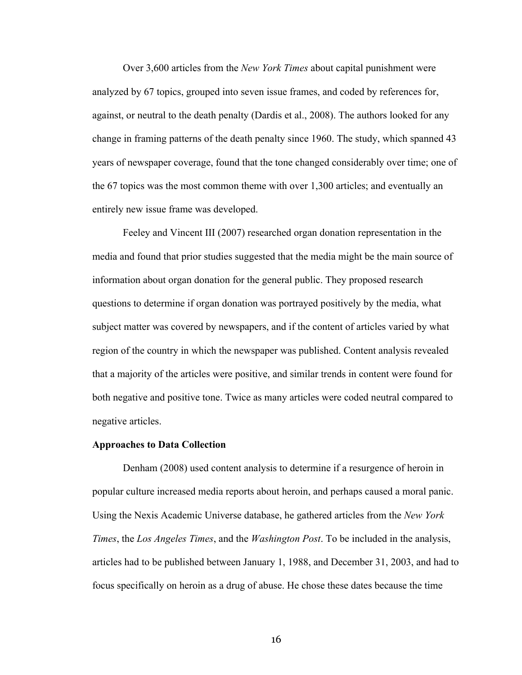Over 3,600 articles from the *New York Times* about capital punishment were analyzed by 67 topics, grouped into seven issue frames, and coded by references for, against, or neutral to the death penalty (Dardis et al., 2008). The authors looked for any change in framing patterns of the death penalty since 1960. The study, which spanned 43 years of newspaper coverage, found that the tone changed considerably over time; one of the 67 topics was the most common theme with over 1,300 articles; and eventually an entirely new issue frame was developed.

Feeley and Vincent III (2007) researched organ donation representation in the media and found that prior studies suggested that the media might be the main source of information about organ donation for the general public. They proposed research questions to determine if organ donation was portrayed positively by the media, what subject matter was covered by newspapers, and if the content of articles varied by what region of the country in which the newspaper was published. Content analysis revealed that a majority of the articles were positive, and similar trends in content were found for both negative and positive tone. Twice as many articles were coded neutral compared to negative articles.

#### **Approaches to Data Collection**

Denham (2008) used content analysis to determine if a resurgence of heroin in popular culture increased media reports about heroin, and perhaps caused a moral panic. Using the Nexis Academic Universe database, he gathered articles from the *New York Times*, the *Los Angeles Times*, and the *Washington Post*. To be included in the analysis, articles had to be published between January 1, 1988, and December 31, 2003, and had to focus specifically on heroin as a drug of abuse. He chose these dates because the time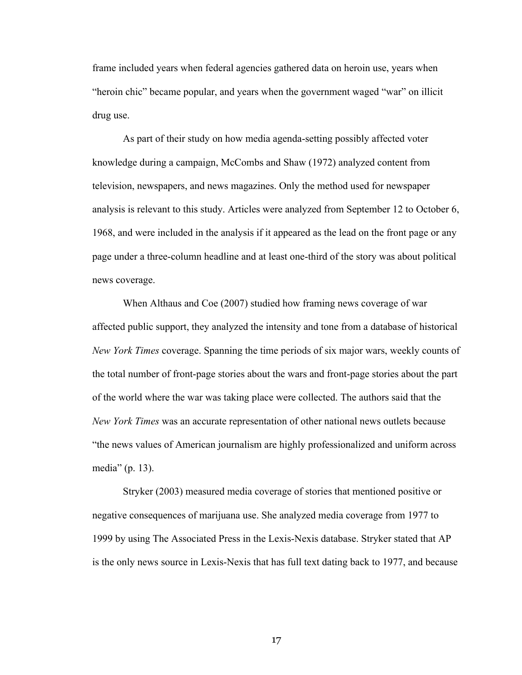frame included years when federal agencies gathered data on heroin use, years when "heroin chic" became popular, and years when the government waged "war" on illicit drug use.

As part of their study on how media agenda-setting possibly affected voter knowledge during a campaign, McCombs and Shaw (1972) analyzed content from television, newspapers, and news magazines. Only the method used for newspaper analysis is relevant to this study. Articles were analyzed from September 12 to October 6, 1968, and were included in the analysis if it appeared as the lead on the front page or any page under a three-column headline and at least one-third of the story was about political news coverage.

When Althaus and Coe (2007) studied how framing news coverage of war affected public support, they analyzed the intensity and tone from a database of historical *New York Times* coverage. Spanning the time periods of six major wars, weekly counts of the total number of front-page stories about the wars and front-page stories about the part of the world where the war was taking place were collected. The authors said that the *New York Times* was an accurate representation of other national news outlets because "the news values of American journalism are highly professionalized and uniform across media" (p. 13).

Stryker (2003) measured media coverage of stories that mentioned positive or negative consequences of marijuana use. She analyzed media coverage from 1977 to 1999 by using The Associated Press in the Lexis-Nexis database. Stryker stated that AP is the only news source in Lexis-Nexis that has full text dating back to 1977, and because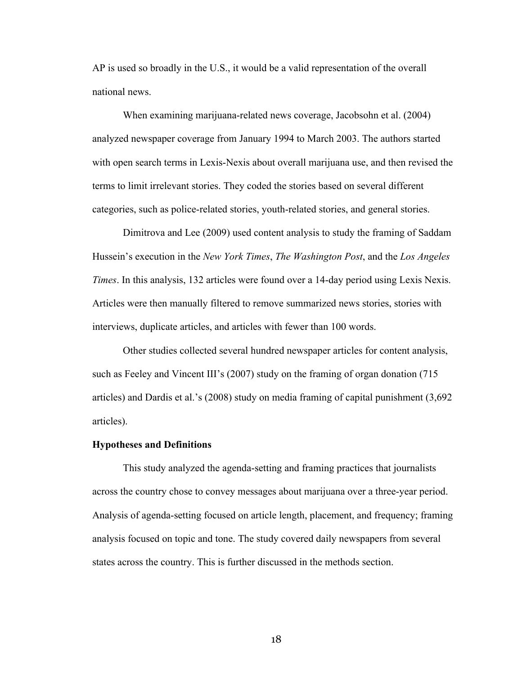AP is used so broadly in the U.S., it would be a valid representation of the overall national news.

When examining marijuana-related news coverage, Jacobsohn et al. (2004) analyzed newspaper coverage from January 1994 to March 2003. The authors started with open search terms in Lexis-Nexis about overall marijuana use, and then revised the terms to limit irrelevant stories. They coded the stories based on several different categories, such as police-related stories, youth-related stories, and general stories.

Dimitrova and Lee (2009) used content analysis to study the framing of Saddam Hussein's execution in the *New York Times*, *The Washington Post*, and the *Los Angeles Times*. In this analysis, 132 articles were found over a 14-day period using Lexis Nexis. Articles were then manually filtered to remove summarized news stories, stories with interviews, duplicate articles, and articles with fewer than 100 words.

Other studies collected several hundred newspaper articles for content analysis, such as Feeley and Vincent III's (2007) study on the framing of organ donation (715 articles) and Dardis et al.'s (2008) study on media framing of capital punishment (3,692 articles).

#### **Hypotheses and Definitions**

This study analyzed the agenda-setting and framing practices that journalists across the country chose to convey messages about marijuana over a three-year period. Analysis of agenda-setting focused on article length, placement, and frequency; framing analysis focused on topic and tone. The study covered daily newspapers from several states across the country. This is further discussed in the methods section.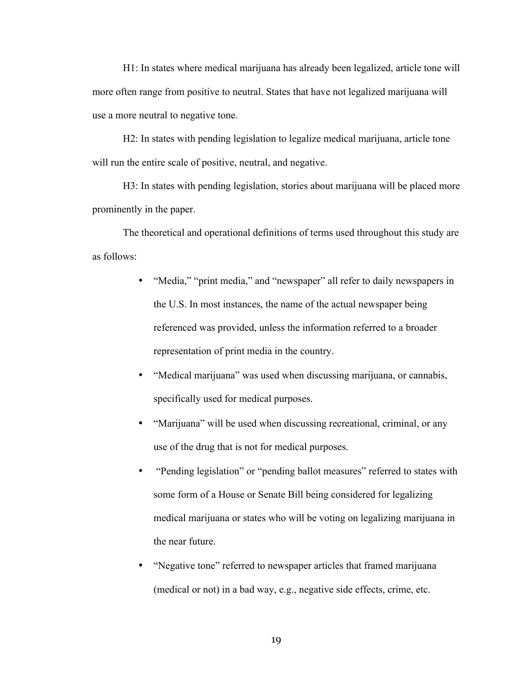H1: In states where medical marijuana has already been legalized, article tone will more often range from positive to neutral. States that have not legalized marijuana will use a more neutral to negative tone.

H2: In states with pending legislation to legalize medical marijuana, article tone will run the entire scale of positive, neutral, and negative.

H3: In states with pending legislation, stories about marijuana will be placed more prominently in the paper.

The theoretical and operational definitions of terms used throughout this study are as follows:

- "Media," "print media," and "newspaper" all refer to daily newspapers in the U.S. In most instances, the name of the actual newspaper being referenced was provided, unless the information referred to a broader representation of print media in the country.
- "Medical marijuana" was used when discussing marijuana, or cannabis, specifically used for medical purposes.
- "Marijuana" will be used when discussing recreational, criminal, or any use of the drug that is not for medical purposes.
- "Pending legislation" or "pending ballot measures" referred to states with some form of a House or Senate Bill being considered for legalizing medical marijuana or states who will be voting on legalizing marijuana in the near future.
- "Negative tone" referred to newspaper articles that framed marijuana (medical or not) in a bad way, e.g., negative side effects, crime, etc.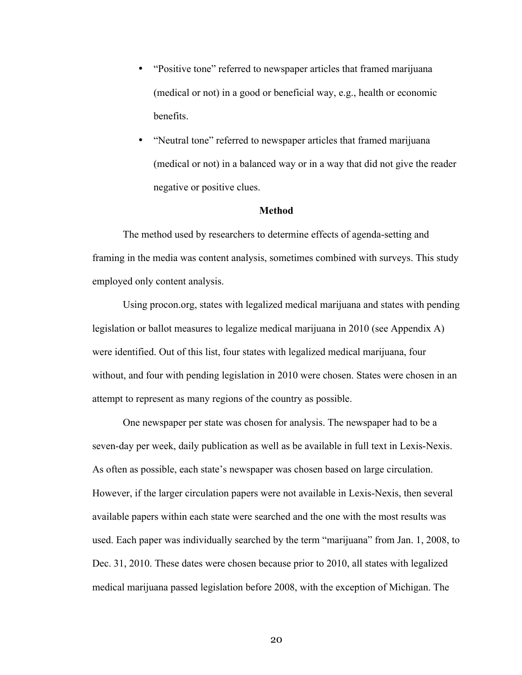- "Positive tone" referred to newspaper articles that framed marijuana (medical or not) in a good or beneficial way, e.g., health or economic benefits.
- "Neutral tone" referred to newspaper articles that framed marijuana (medical or not) in a balanced way or in a way that did not give the reader negative or positive clues.

#### **Method**

The method used by researchers to determine effects of agenda-setting and framing in the media was content analysis, sometimes combined with surveys. This study employed only content analysis.

Using procon.org, states with legalized medical marijuana and states with pending legislation or ballot measures to legalize medical marijuana in 2010 (see Appendix A) were identified. Out of this list, four states with legalized medical marijuana, four without, and four with pending legislation in 2010 were chosen. States were chosen in an attempt to represent as many regions of the country as possible.

One newspaper per state was chosen for analysis. The newspaper had to be a seven-day per week, daily publication as well as be available in full text in Lexis-Nexis. As often as possible, each state's newspaper was chosen based on large circulation. However, if the larger circulation papers were not available in Lexis-Nexis, then several available papers within each state were searched and the one with the most results was used. Each paper was individually searched by the term "marijuana" from Jan. 1, 2008, to Dec. 31, 2010. These dates were chosen because prior to 2010, all states with legalized medical marijuana passed legislation before 2008, with the exception of Michigan. The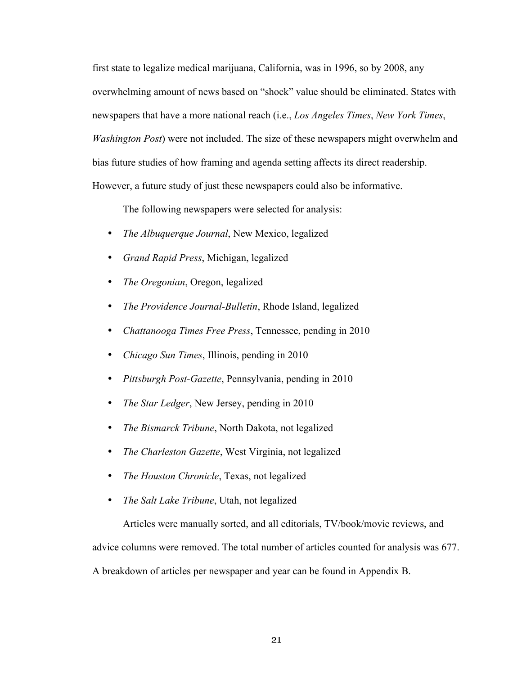first state to legalize medical marijuana, California, was in 1996, so by 2008, any overwhelming amount of news based on "shock" value should be eliminated. States with newspapers that have a more national reach (i.e., *Los Angeles Times*, *New York Times*, *Washington Post*) were not included. The size of these newspapers might overwhelm and bias future studies of how framing and agenda setting affects its direct readership. However, a future study of just these newspapers could also be informative.

The following newspapers were selected for analysis:

- *The Albuquerque Journal*, New Mexico, legalized
- *Grand Rapid Press*, Michigan, legalized
- *The Oregonian*, Oregon, legalized
- *The Providence Journal-Bulletin*, Rhode Island, legalized
- *Chattanooga Times Free Press*, Tennessee, pending in 2010
- *Chicago Sun Times*, Illinois, pending in 2010
- *Pittsburgh Post-Gazette*, Pennsylvania, pending in 2010
- *The Star Ledger*, New Jersey, pending in 2010
- *The Bismarck Tribune*, North Dakota, not legalized
- *The Charleston Gazette*, West Virginia, not legalized
- *The Houston Chronicle*, Texas, not legalized
- *The Salt Lake Tribune*, Utah, not legalized

Articles were manually sorted, and all editorials, TV/book/movie reviews, and

advice columns were removed. The total number of articles counted for analysis was 677.

A breakdown of articles per newspaper and year can be found in Appendix B.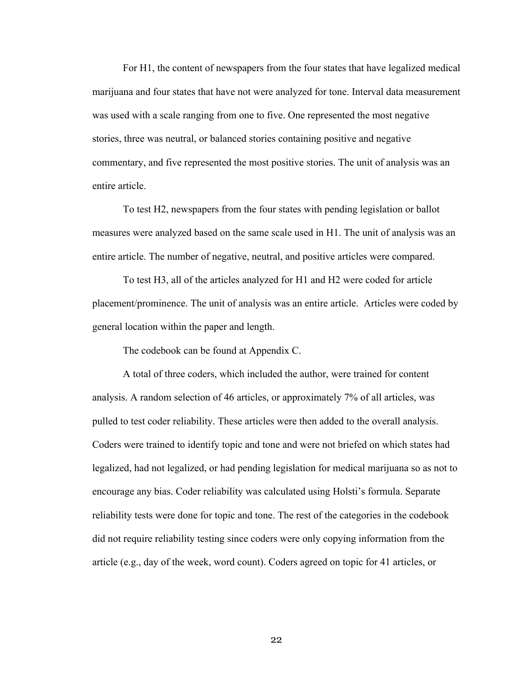For H1, the content of newspapers from the four states that have legalized medical marijuana and four states that have not were analyzed for tone. Interval data measurement was used with a scale ranging from one to five. One represented the most negative stories, three was neutral, or balanced stories containing positive and negative commentary, and five represented the most positive stories. The unit of analysis was an entire article.

To test H2, newspapers from the four states with pending legislation or ballot measures were analyzed based on the same scale used in H1. The unit of analysis was an entire article. The number of negative, neutral, and positive articles were compared.

To test H3, all of the articles analyzed for H1 and H2 were coded for article placement/prominence. The unit of analysis was an entire article. Articles were coded by general location within the paper and length.

The codebook can be found at Appendix C.

A total of three coders, which included the author, were trained for content analysis. A random selection of 46 articles, or approximately 7% of all articles, was pulled to test coder reliability. These articles were then added to the overall analysis. Coders were trained to identify topic and tone and were not briefed on which states had legalized, had not legalized, or had pending legislation for medical marijuana so as not to encourage any bias. Coder reliability was calculated using Holsti's formula. Separate reliability tests were done for topic and tone. The rest of the categories in the codebook did not require reliability testing since coders were only copying information from the article (e.g., day of the week, word count). Coders agreed on topic for 41 articles, or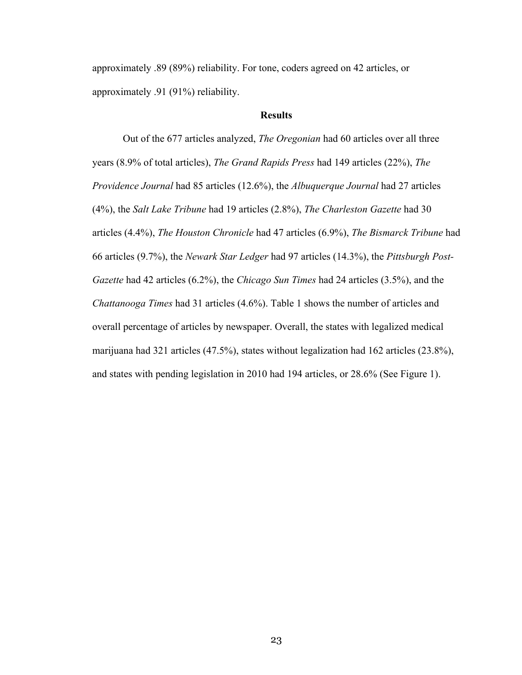approximately .89 (89%) reliability. For tone, coders agreed on 42 articles, or approximately .91 (91%) reliability.

#### **Results**

Out of the 677 articles analyzed, *The Oregonian* had 60 articles over all three years (8.9% of total articles), *The Grand Rapids Press* had 149 articles (22%), *The Providence Journal* had 85 articles (12.6%), the *Albuquerque Journal* had 27 articles (4%), the *Salt Lake Tribune* had 19 articles (2.8%), *The Charleston Gazette* had 30 articles (4.4%), *The Houston Chronicle* had 47 articles (6.9%), *The Bismarck Tribune* had 66 articles (9.7%), the *Newark Star Ledger* had 97 articles (14.3%), the *Pittsburgh Post-Gazette* had 42 articles (6.2%), the *Chicago Sun Times* had 24 articles (3.5%), and the *Chattanooga Times* had 31 articles (4.6%). Table 1 shows the number of articles and overall percentage of articles by newspaper. Overall, the states with legalized medical marijuana had 321 articles (47.5%), states without legalization had 162 articles (23.8%), and states with pending legislation in 2010 had 194 articles, or 28.6% (See Figure 1).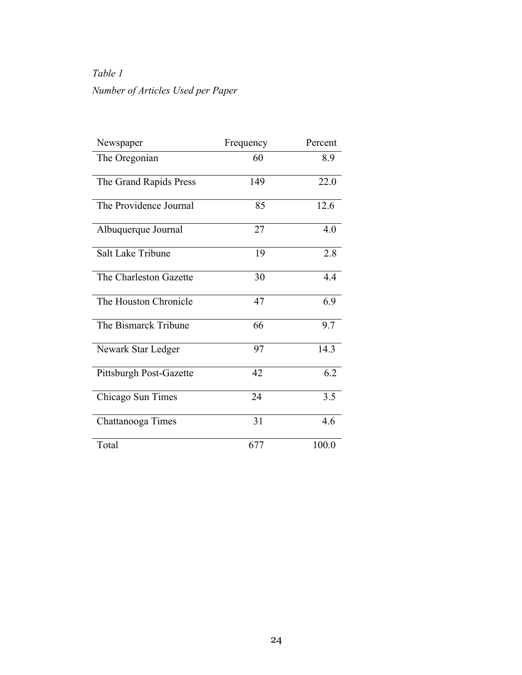# *Table 1 Number of Articles Used per Paper*

| Newspaper                | Frequency | Percent |
|--------------------------|-----------|---------|
| The Oregonian            | 60        | 8.9     |
| The Grand Rapids Press   | 149       | 22.0    |
| The Providence Journal   | 85        | 12.6    |
| Albuquerque Journal      | 27        | 4.0     |
| <b>Salt Lake Tribune</b> | 19        | 2.8     |
| The Charleston Gazette   | 30        | 4.4     |
| The Houston Chronicle    | 47        | 6.9     |
| The Bismarck Tribune     | 66        | 9.7     |
| Newark Star Ledger       | 97        | 14.3    |
| Pittsburgh Post-Gazette  | 42        | 6.2     |
| Chicago Sun Times        | 24        | 3.5     |
| Chattanooga Times        | 31        | 4.6     |
| Total                    | 677       | 100.0   |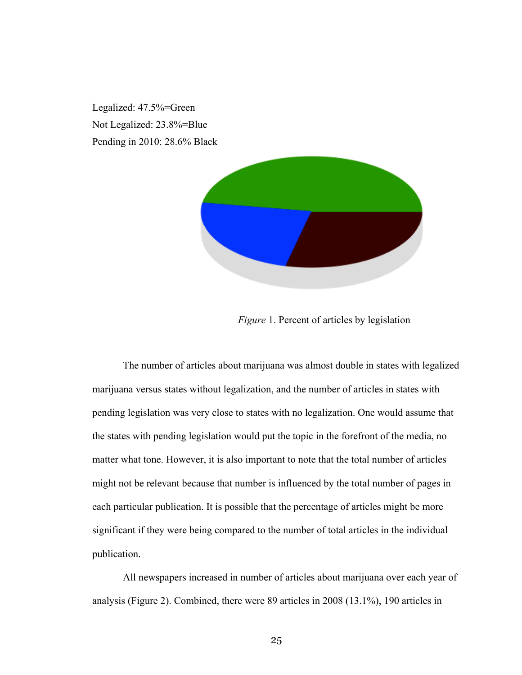Legalized: 47.5%=Green Not Legalized: 23.8%=Blue Pending in 2010: 28.6% Black



 *Figure* 1. Percent of articles by legislation

The number of articles about marijuana was almost double in states with legalized marijuana versus states without legalization, and the number of articles in states with pending legislation was very close to states with no legalization. One would assume that the states with pending legislation would put the topic in the forefront of the media, no matter what tone. However, it is also important to note that the total number of articles might not be relevant because that number is influenced by the total number of pages in each particular publication. It is possible that the percentage of articles might be more significant if they were being compared to the number of total articles in the individual publication.

All newspapers increased in number of articles about marijuana over each year of analysis (Figure 2). Combined, there were 89 articles in 2008 (13.1%), 190 articles in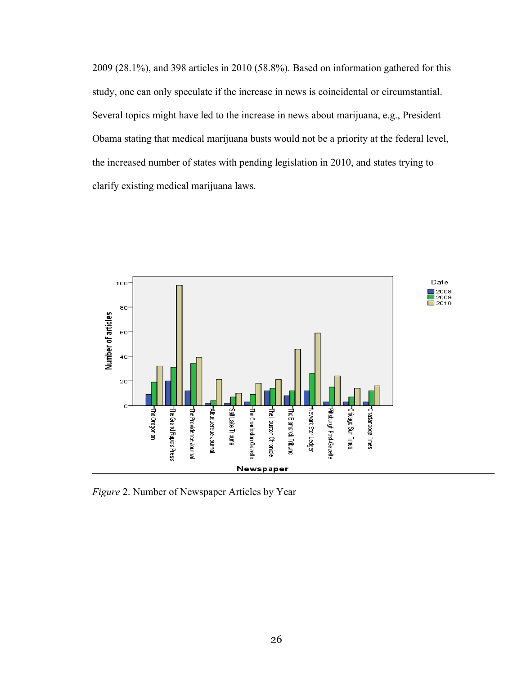2009 (28.1%), and 398 articles in 2010 (58.8%). Based on information gathered for this study, one can only speculate if the increase in news is coincidental or circumstantial. Several topics might have led to the increase in news about marijuana, e.g., President Obama stating that medical marijuana busts would not be a priority at the federal level, the increased number of states with pending legislation in 2010, and states trying to clarify existing medical marijuana laws.



*Figure* 2. Number of Newspaper Articles by Year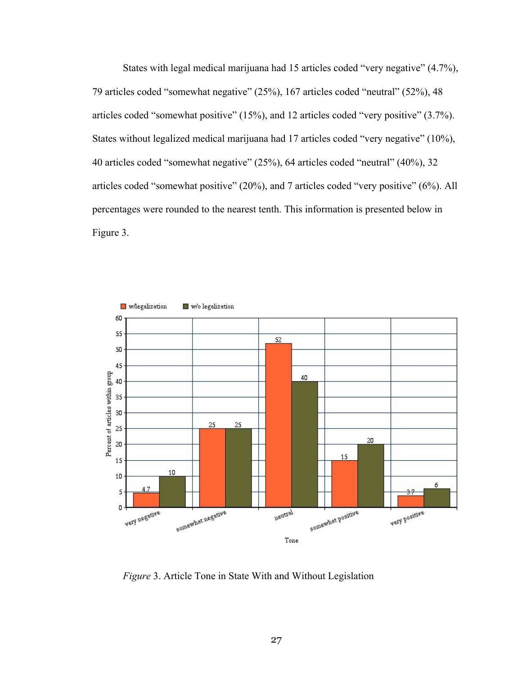States with legal medical marijuana had 15 articles coded "very negative" (4.7%), 79 articles coded "somewhat negative" (25%), 167 articles coded "neutral" (52%), 48 articles coded "somewhat positive" (15%), and 12 articles coded "very positive" (3.7%). States without legalized medical marijuana had 17 articles coded "very negative" (10%), 40 articles coded "somewhat negative" (25%), 64 articles coded "neutral" (40%), 32 articles coded "somewhat positive" (20%), and 7 articles coded "very positive" (6%). All percentages were rounded to the nearest tenth. This information is presented below in Figure 3.



*Figure* 3. Article Tone in State With and Without Legislation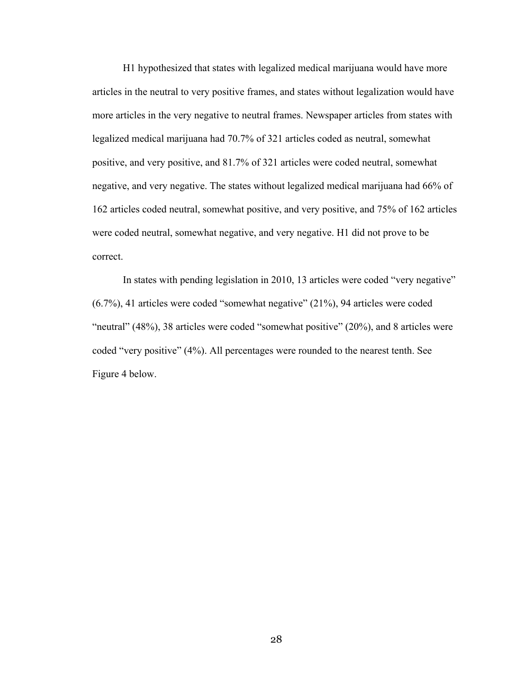H1 hypothesized that states with legalized medical marijuana would have more articles in the neutral to very positive frames, and states without legalization would have more articles in the very negative to neutral frames. Newspaper articles from states with legalized medical marijuana had 70.7% of 321 articles coded as neutral, somewhat positive, and very positive, and 81.7% of 321 articles were coded neutral, somewhat negative, and very negative. The states without legalized medical marijuana had 66% of 162 articles coded neutral, somewhat positive, and very positive, and 75% of 162 articles were coded neutral, somewhat negative, and very negative. H1 did not prove to be correct.

In states with pending legislation in 2010, 13 articles were coded "very negative" (6.7%), 41 articles were coded "somewhat negative" (21%), 94 articles were coded "neutral" (48%), 38 articles were coded "somewhat positive" (20%), and 8 articles were coded "very positive" (4%). All percentages were rounded to the nearest tenth. See Figure 4 below.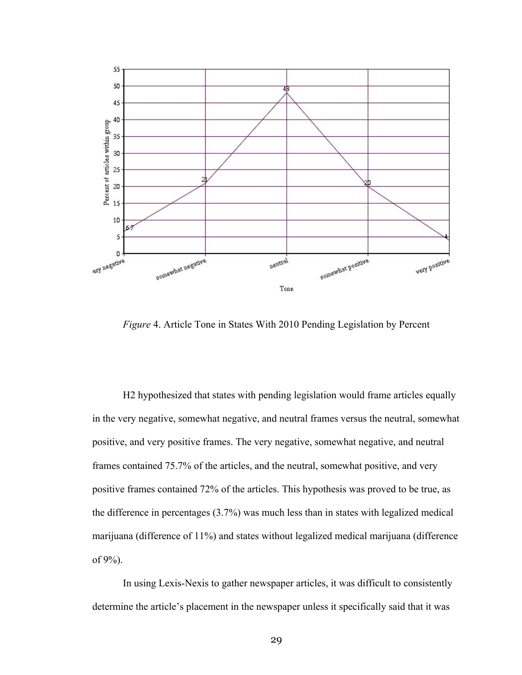

*Figure* 4. Article Tone in States With 2010 Pending Legislation by Percent

H2 hypothesized that states with pending legislation would frame articles equally in the very negative, somewhat negative, and neutral frames versus the neutral, somewhat positive, and very positive frames. The very negative, somewhat negative, and neutral frames contained 75.7% of the articles, and the neutral, somewhat positive, and very positive frames contained 72% of the articles. This hypothesis was proved to be true, as the difference in percentages (3.7%) was much less than in states with legalized medical marijuana (difference of 11%) and states without legalized medical marijuana (difference of 9%).

In using Lexis-Nexis to gather newspaper articles, it was difficult to consistently determine the article's placement in the newspaper unless it specifically said that it was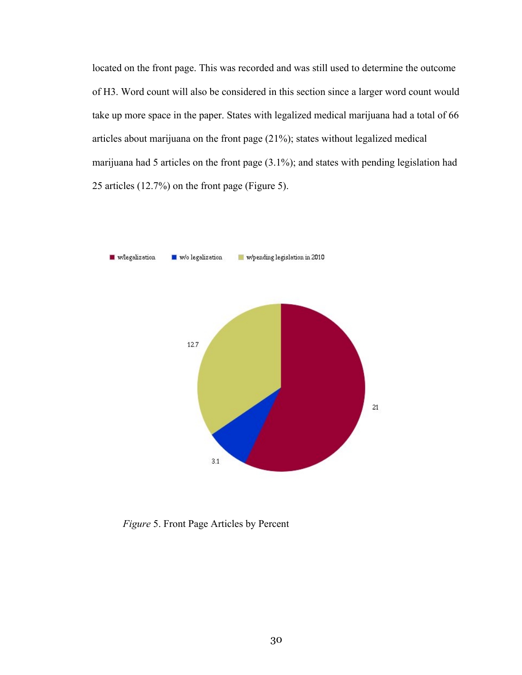located on the front page. This was recorded and was still used to determine the outcome of H3. Word count will also be considered in this section since a larger word count would take up more space in the paper. States with legalized medical marijuana had a total of 66 articles about marijuana on the front page (21%); states without legalized medical marijuana had 5 articles on the front page (3.1%); and states with pending legislation had 25 articles (12.7%) on the front page (Figure 5).



*Figure* 5. Front Page Articles by Percent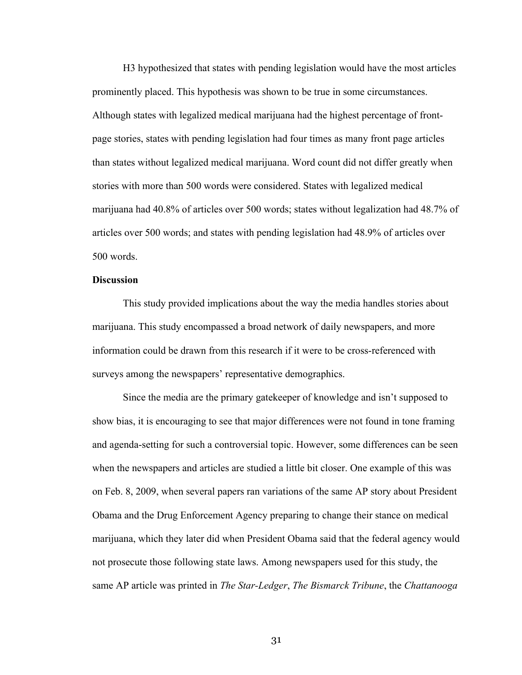H3 hypothesized that states with pending legislation would have the most articles prominently placed. This hypothesis was shown to be true in some circumstances. Although states with legalized medical marijuana had the highest percentage of frontpage stories, states with pending legislation had four times as many front page articles than states without legalized medical marijuana. Word count did not differ greatly when stories with more than 500 words were considered. States with legalized medical marijuana had 40.8% of articles over 500 words; states without legalization had 48.7% of articles over 500 words; and states with pending legislation had 48.9% of articles over 500 words.

#### **Discussion**

This study provided implications about the way the media handles stories about marijuana. This study encompassed a broad network of daily newspapers, and more information could be drawn from this research if it were to be cross-referenced with surveys among the newspapers' representative demographics.

Since the media are the primary gatekeeper of knowledge and isn't supposed to show bias, it is encouraging to see that major differences were not found in tone framing and agenda-setting for such a controversial topic. However, some differences can be seen when the newspapers and articles are studied a little bit closer. One example of this was on Feb. 8, 2009, when several papers ran variations of the same AP story about President Obama and the Drug Enforcement Agency preparing to change their stance on medical marijuana, which they later did when President Obama said that the federal agency would not prosecute those following state laws. Among newspapers used for this study, the same AP article was printed in *The Star-Ledger*, *The Bismarck Tribune*, the *Chattanooga*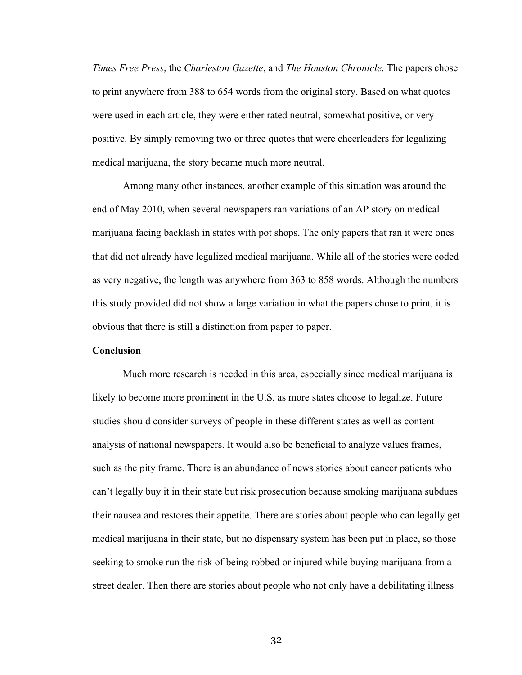*Times Free Press*, the *Charleston Gazette*, and *The Houston Chronicle*. The papers chose to print anywhere from 388 to 654 words from the original story. Based on what quotes were used in each article, they were either rated neutral, somewhat positive, or very positive. By simply removing two or three quotes that were cheerleaders for legalizing medical marijuana, the story became much more neutral.

Among many other instances, another example of this situation was around the end of May 2010, when several newspapers ran variations of an AP story on medical marijuana facing backlash in states with pot shops. The only papers that ran it were ones that did not already have legalized medical marijuana. While all of the stories were coded as very negative, the length was anywhere from 363 to 858 words. Although the numbers this study provided did not show a large variation in what the papers chose to print, it is obvious that there is still a distinction from paper to paper.

#### **Conclusion**

Much more research is needed in this area, especially since medical marijuana is likely to become more prominent in the U.S. as more states choose to legalize. Future studies should consider surveys of people in these different states as well as content analysis of national newspapers. It would also be beneficial to analyze values frames, such as the pity frame. There is an abundance of news stories about cancer patients who can't legally buy it in their state but risk prosecution because smoking marijuana subdues their nausea and restores their appetite. There are stories about people who can legally get medical marijuana in their state, but no dispensary system has been put in place, so those seeking to smoke run the risk of being robbed or injured while buying marijuana from a street dealer. Then there are stories about people who not only have a debilitating illness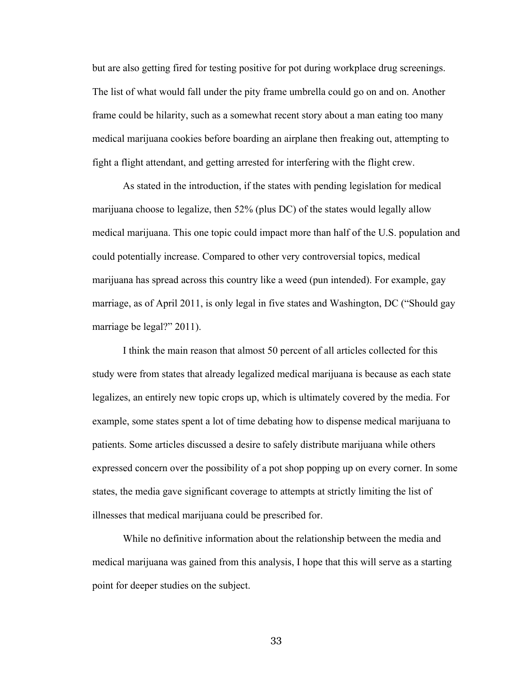but are also getting fired for testing positive for pot during workplace drug screenings. The list of what would fall under the pity frame umbrella could go on and on. Another frame could be hilarity, such as a somewhat recent story about a man eating too many medical marijuana cookies before boarding an airplane then freaking out, attempting to fight a flight attendant, and getting arrested for interfering with the flight crew.

As stated in the introduction, if the states with pending legislation for medical marijuana choose to legalize, then 52% (plus DC) of the states would legally allow medical marijuana. This one topic could impact more than half of the U.S. population and could potentially increase. Compared to other very controversial topics, medical marijuana has spread across this country like a weed (pun intended). For example, gay marriage, as of April 2011, is only legal in five states and Washington, DC ("Should gay marriage be legal?" 2011).

I think the main reason that almost 50 percent of all articles collected for this study were from states that already legalized medical marijuana is because as each state legalizes, an entirely new topic crops up, which is ultimately covered by the media. For example, some states spent a lot of time debating how to dispense medical marijuana to patients. Some articles discussed a desire to safely distribute marijuana while others expressed concern over the possibility of a pot shop popping up on every corner. In some states, the media gave significant coverage to attempts at strictly limiting the list of illnesses that medical marijuana could be prescribed for.

While no definitive information about the relationship between the media and medical marijuana was gained from this analysis, I hope that this will serve as a starting point for deeper studies on the subject.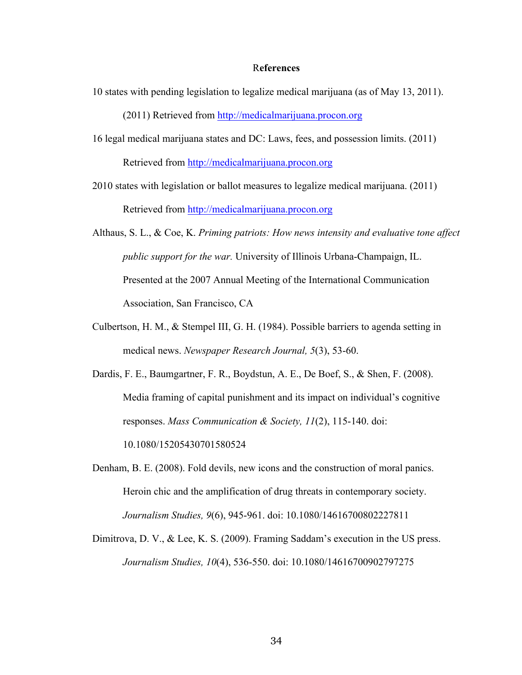#### R**eferences**

10 states with pending legislation to legalize medical marijuana (as of May 13, 2011).

(2011) Retrieved from http://medicalmarijuana.procon.org

- 16 legal medical marijuana states and DC: Laws, fees, and possession limits. (2011) Retrieved from http://medicalmarijuana.procon.org
- 2010 states with legislation or ballot measures to legalize medical marijuana. (2011) Retrieved from http://medicalmarijuana.procon.org
- Althaus, S. L., & Coe, K. *Priming patriots: How news intensity and evaluative tone affect public support for the war.* University of Illinois Urbana-Champaign, IL. Presented at the 2007 Annual Meeting of the International Communication Association, San Francisco, CA
- Culbertson, H. M., & Stempel III, G. H. (1984). Possible barriers to agenda setting in medical news. *Newspaper Research Journal, 5*(3), 53-60.

Dardis, F. E., Baumgartner, F. R., Boydstun, A. E., De Boef, S., & Shen, F. (2008). Media framing of capital punishment and its impact on individual's cognitive responses. *Mass Communication & Society, 11*(2), 115-140. doi: 10.1080/15205430701580524

- Denham, B. E. (2008). Fold devils, new icons and the construction of moral panics. Heroin chic and the amplification of drug threats in contemporary society. *Journalism Studies, 9*(6), 945-961. doi: 10.1080/14616700802227811
- Dimitrova, D. V., & Lee, K. S. (2009). Framing Saddam's execution in the US press. *Journalism Studies, 10*(4), 536-550. doi: 10.1080/14616700902797275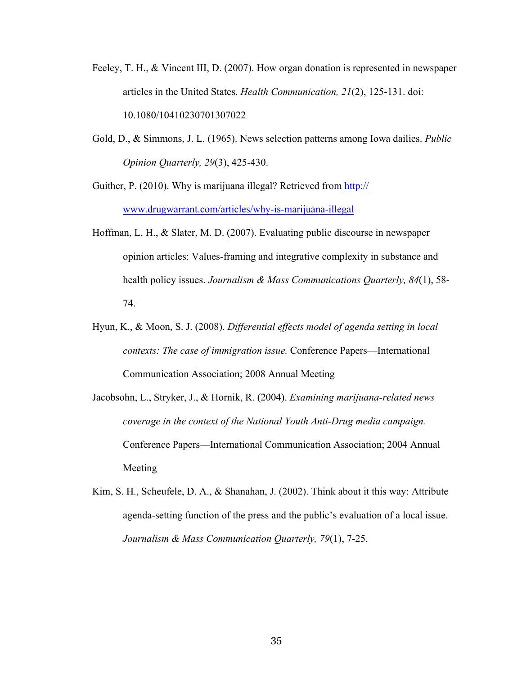- Feeley, T. H., & Vincent III, D. (2007). How organ donation is represented in newspaper articles in the United States. *Health Communication, 21*(2), 125-131. doi: 10.1080/10410230701307022
- Gold, D., & Simmons, J. L. (1965). News selection patterns among Iowa dailies. *Public Opinion Quarterly, 29*(3), 425-430.

Guither, P. (2010). Why is marijuana illegal? Retrieved from http:// www.drugwarrant.com/articles/why-is-marijuana-illegal

- Hoffman, L. H., & Slater, M. D. (2007). Evaluating public discourse in newspaper opinion articles: Values-framing and integrative complexity in substance and health policy issues. *Journalism & Mass Communications Quarterly, 84*(1), 58- 74.
- Hyun, K., & Moon, S. J. (2008). *Differential effects model of agenda setting in local contexts: The case of immigration issue.* Conference Papers—International Communication Association; 2008 Annual Meeting
- Jacobsohn, L., Stryker, J., & Hornik, R. (2004). *Examining marijuana-related news coverage in the context of the National Youth Anti-Drug media campaign.*  Conference Papers—International Communication Association; 2004 Annual Meeting
- Kim, S. H., Scheufele, D. A., & Shanahan, J. (2002). Think about it this way: Attribute agenda-setting function of the press and the public's evaluation of a local issue. *Journalism & Mass Communication Quarterly, 79*(1), 7-25.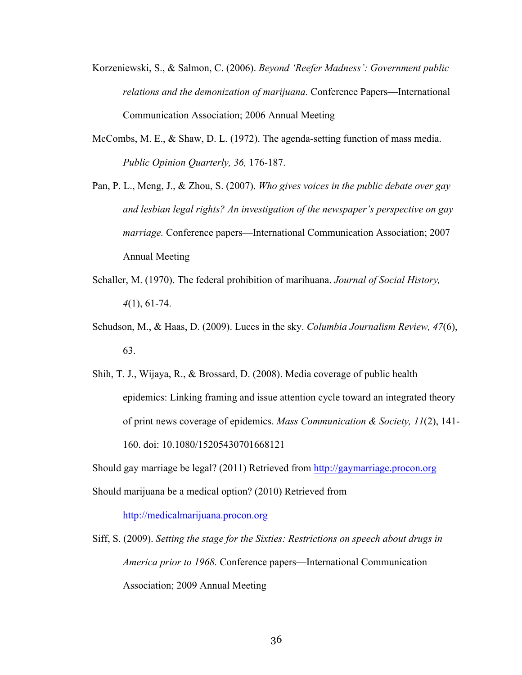- Korzeniewski, S., & Salmon, C. (2006). *Beyond 'Reefer Madness': Government public relations and the demonization of marijuana.* Conference Papers—International Communication Association; 2006 Annual Meeting
- McCombs, M. E., & Shaw, D. L. (1972). The agenda-setting function of mass media. *Public Opinion Quarterly, 36,* 176-187.
- Pan, P. L., Meng, J., & Zhou, S. (2007). *Who gives voices in the public debate over gay and lesbian legal rights? An investigation of the newspaper's perspective on gay marriage.* Conference papers—International Communication Association; 2007 Annual Meeting
- Schaller, M. (1970). The federal prohibition of marihuana. *Journal of Social History, 4*(1), 61-74.
- Schudson, M., & Haas, D. (2009). Luces in the sky. *Columbia Journalism Review, 47*(6), 63.
- Shih, T. J., Wijaya, R., & Brossard, D. (2008). Media coverage of public health epidemics: Linking framing and issue attention cycle toward an integrated theory of print news coverage of epidemics. *Mass Communication & Society, 11*(2), 141- 160. doi: 10.1080/15205430701668121
- Should gay marriage be legal? (2011) Retrieved from http://gaymarriage.procon.org Should marijuana be a medical option? (2010) Retrieved from

http://medicalmarijuana.procon.org

Siff, S. (2009). *Setting the stage for the Sixties: Restrictions on speech about drugs in America prior to 1968.* Conference papers—International Communication Association; 2009 Annual Meeting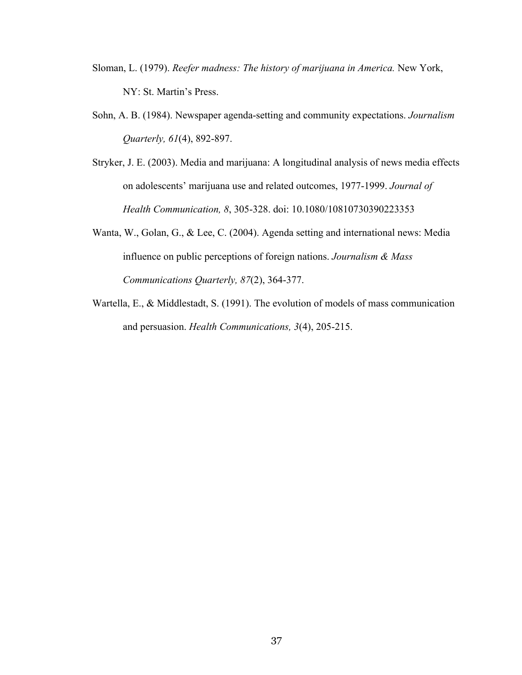- Sloman, L. (1979). *Reefer madness: The history of marijuana in America.* New York, NY: St. Martin's Press.
- Sohn, A. B. (1984). Newspaper agenda-setting and community expectations. *Journalism Quarterly, 61*(4), 892-897.
- Stryker, J. E. (2003). Media and marijuana: A longitudinal analysis of news media effects on adolescents' marijuana use and related outcomes, 1977-1999. *Journal of Health Communication, 8*, 305-328. doi: 10.1080/10810730390223353
- Wanta, W., Golan, G., & Lee, C. (2004). Agenda setting and international news: Media influence on public perceptions of foreign nations. *Journalism & Mass Communications Quarterly, 87*(2), 364-377.
- Wartella, E., & Middlestadt, S. (1991). The evolution of models of mass communication and persuasion. *Health Communications, 3*(4), 205-215.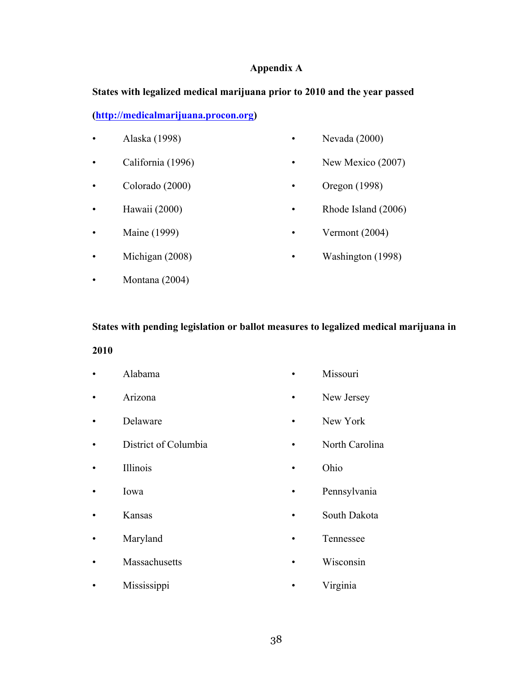## **Appendix A**

## **States with legalized medical marijuana prior to 2010 and the year passed**

**(http://medicalmarijuana.procon.org)**

- Alaska (1998)
- California (1996)
- Colorado (2000)
- Hawaii (2000)
- Maine (1999)
- Michigan (2008)
- Montana (2004)
- Nevada (2000)
- New Mexico (2007)
- Oregon (1998)
- Rhode Island (2006)
- Vermont (2004)
- Washington (1998)

## **States with pending legislation or ballot measures to legalized medical marijuana in**

## **2010**

- Alabama
- Arizona
- Delaware
- District of Columbia
- Illinois
- Iowa
- Kansas
- Maryland
- Massachusetts

• Mississippi

- Missouri
- New Jersey
- New York
- North Carolina
- Ohio
- Pennsylvania
- South Dakota
- Tennessee
- 
- Wisconsin
- Virginia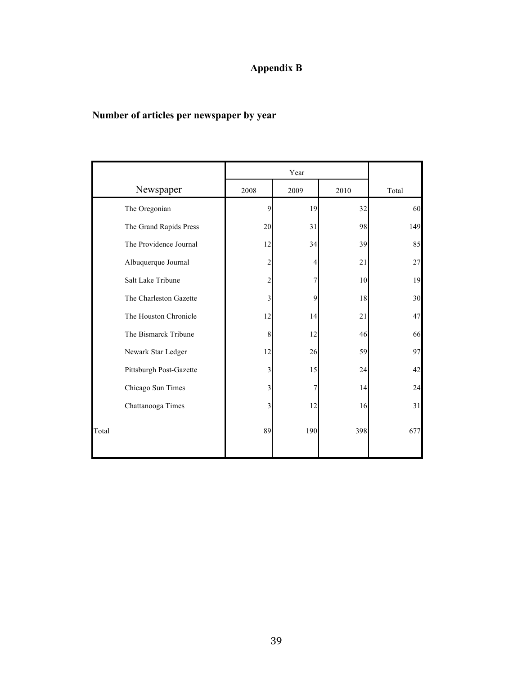## **Appendix B**

## **Number of articles per newspaper by year**

|                         | Year |      |      |        |
|-------------------------|------|------|------|--------|
| Newspaper               | 2008 | 2009 | 2010 | Total  |
| The Oregonian           | 9    | 19   | 32   | 60     |
| The Grand Rapids Press  | 20   | 31   | 98   | 149    |
| The Providence Journal  | 12   | 34   | 39   | 85     |
| Albuquerque Journal     | 2    | 4    | 21   | $27\,$ |
| Salt Lake Tribune       |      |      | 10   | 19     |
| The Charleston Gazette  | 3    | 9    | 18   | 30     |
| The Houston Chronicle   | 12   | 14   | 21   | 47     |
| The Bismarck Tribune    | 8    | 12   | 46   | 66     |
| Newark Star Ledger      | 12   | 26   | 59   | 97     |
| Pittsburgh Post-Gazette | 3    | 15   | 24   | 42     |
| Chicago Sun Times       | 3    | 7    | 14   | 24     |
| Chattanooga Times       | 3    | 12   | 16   | 31     |
| Total                   | 89   | 190  | 398  | 677    |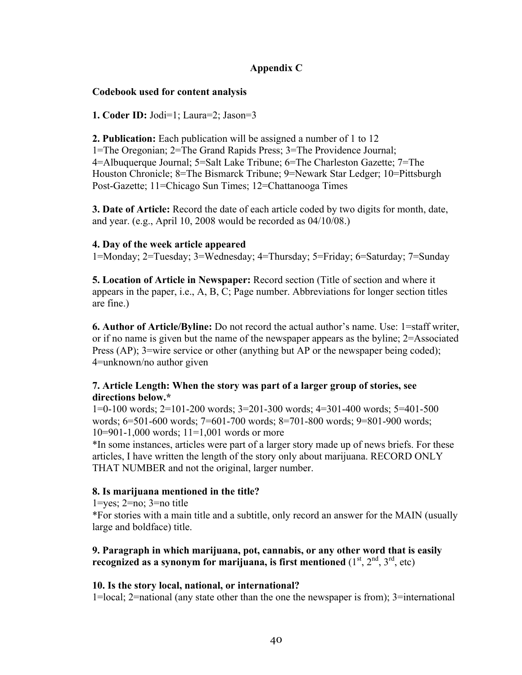## **Appendix C**

## **Codebook used for content analysis**

**1. Coder ID:** Jodi=1; Laura=2; Jason=3

**2. Publication:** Each publication will be assigned a number of 1 to 12 1=The Oregonian; 2=The Grand Rapids Press; 3=The Providence Journal; 4=Albuquerque Journal; 5=Salt Lake Tribune; 6=The Charleston Gazette; 7=The Houston Chronicle; 8=The Bismarck Tribune; 9=Newark Star Ledger; 10=Pittsburgh Post-Gazette; 11=Chicago Sun Times; 12=Chattanooga Times

**3. Date of Article:** Record the date of each article coded by two digits for month, date, and year. (e.g., April 10, 2008 would be recorded as 04/10/08.)

## **4. Day of the week article appeared**

1=Monday; 2=Tuesday; 3=Wednesday; 4=Thursday; 5=Friday; 6=Saturday; 7=Sunday

**5. Location of Article in Newspaper:** Record section (Title of section and where it appears in the paper, i.e., A, B, C; Page number. Abbreviations for longer section titles are fine.)

**6. Author of Article/Byline:** Do not record the actual author's name. Use: 1=staff writer, or if no name is given but the name of the newspaper appears as the byline; 2=Associated Press (AP); 3=wire service or other (anything but AP or the newspaper being coded); 4=unknown/no author given

## **7. Article Length: When the story was part of a larger group of stories, see directions below.\***

1=0-100 words; 2=101-200 words; 3=201-300 words; 4=301-400 words; 5=401-500 words; 6=501-600 words; 7=601-700 words; 8=701-800 words; 9=801-900 words; 10=901-1,000 words; 11=1,001 words or more

\*In some instances, articles were part of a larger story made up of news briefs. For these articles, I have written the length of the story only about marijuana. RECORD ONLY THAT NUMBER and not the original, larger number.

## **8. Is marijuana mentioned in the title?**

1=yes; 2=no; 3=no title

\*For stories with a main title and a subtitle, only record an answer for the MAIN (usually large and boldface) title.

## **9. Paragraph in which marijuana, pot, cannabis, or any other word that is easily recognized as a synonym for marijuana, is first mentioned**  $(1^{\text{st}}, 2^{\text{nd}}, 3^{\text{rd}}, \text{etc})$

## **10. Is the story local, national, or international?**

1=local; 2=national (any state other than the one the newspaper is from); 3=international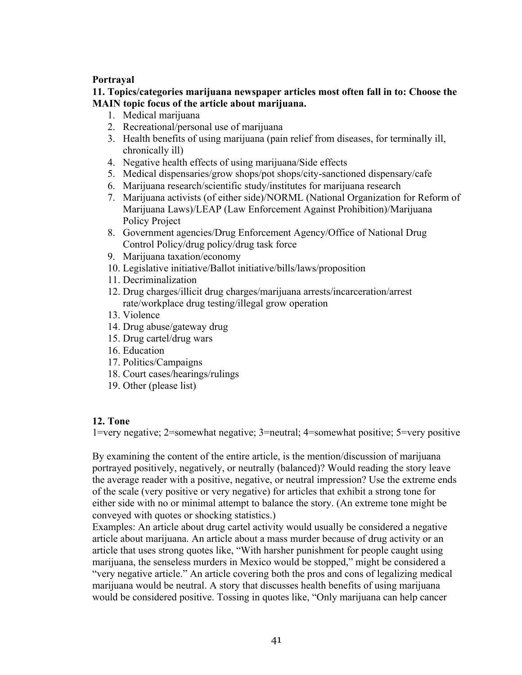## **Portrayal**

**11. Topics/categories marijuana newspaper articles most often fall in to: Choose the MAIN topic focus of the article about marijuana.** 

- 1. Medical marijuana
- 2. Recreational/personal use of marijuana
- 3. Health benefits of using marijuana (pain relief from diseases, for terminally ill, chronically ill)
- 4. Negative health effects of using marijuana/Side effects
- 5. Medical dispensaries/grow shops/pot shops/city-sanctioned dispensary/cafe
- 6. Marijuana research/scientific study/institutes for marijuana research
- 7. Marijuana activists (of either side)/NORML (National Organization for Reform of Marijuana Laws)/LEAP (Law Enforcement Against Prohibition)/Marijuana Policy Project
- 8. Government agencies/Drug Enforcement Agency/Office of National Drug Control Policy/drug policy/drug task force
- 9. Marijuana taxation/economy
- 10. Legislative initiative/Ballot initiative/bills/laws/proposition
- 11. Decriminalization
- 12. Drug charges/illicit drug charges/marijuana arrests/incarceration/arrest rate/workplace drug testing/illegal grow operation
- 13. Violence
- 14. Drug abuse/gateway drug
- 15. Drug cartel/drug wars
- 16. Education
- 17. Politics/Campaigns
- 18. Court cases/hearings/rulings
- 19. Other (please list)

## **12. Tone**

1=very negative; 2=somewhat negative; 3=neutral; 4=somewhat positive; 5=very positive

By examining the content of the entire article, is the mention/discussion of marijuana portrayed positively, negatively, or neutrally (balanced)? Would reading the story leave the average reader with a positive, negative, or neutral impression? Use the extreme ends of the scale (very positive or very negative) for articles that exhibit a strong tone for either side with no or minimal attempt to balance the story. (An extreme tone might be conveyed with quotes or shocking statistics.)

Examples: An article about drug cartel activity would usually be considered a negative article about marijuana. An article about a mass murder because of drug activity or an article that uses strong quotes like, "With harsher punishment for people caught using marijuana, the senseless murders in Mexico would be stopped," might be considered a "very negative article." An article covering both the pros and cons of legalizing medical marijuana would be neutral. A story that discusses health benefits of using marijuana would be considered positive. Tossing in quotes like, "Only marijuana can help cancer